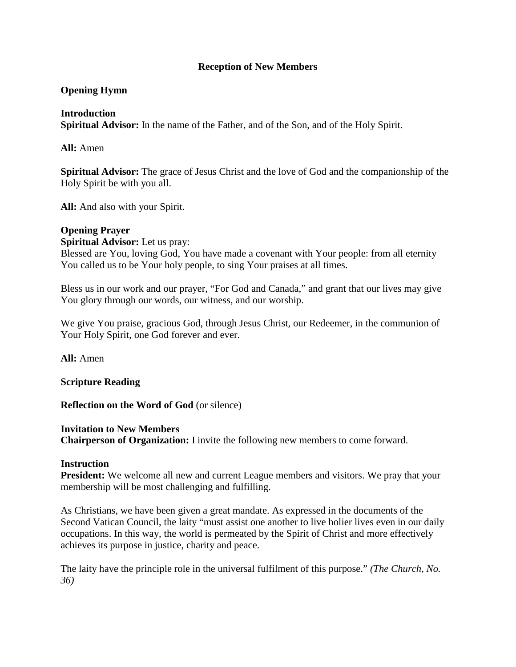## **Reception of New Members**

# **Opening Hymn**

### **Introduction**

**Spiritual Advisor:** In the name of the Father, and of the Son, and of the Holy Spirit.

**All:** Amen

**Spiritual Advisor:** The grace of Jesus Christ and the love of God and the companionship of the Holy Spirit be with you all.

**All:** And also with your Spirit.

### **Opening Prayer**

**Spiritual Advisor:** Let us pray:

Blessed are You, loving God, You have made a covenant with Your people: from all eternity You called us to be Your holy people, to sing Your praises at all times.

Bless us in our work and our prayer, "For God and Canada," and grant that our lives may give You glory through our words, our witness, and our worship.

We give You praise, gracious God, through Jesus Christ, our Redeemer, in the communion of Your Holy Spirit, one God forever and ever.

**All:** Amen

**Scripture Reading** 

**Reflection on the Word of God** (or silence)

#### **Invitation to New Members**

**Chairperson of Organization:** I invite the following new members to come forward.

#### **Instruction**

**President:** We welcome all new and current League members and visitors. We pray that your membership will be most challenging and fulfilling.

As Christians, we have been given a great mandate. As expressed in the documents of the Second Vatican Council, the laity "must assist one another to live holier lives even in our daily occupations. In this way, the world is permeated by the Spirit of Christ and more effectively achieves its purpose in justice, charity and peace.

The laity have the principle role in the universal fulfilment of this purpose." *(The Church, No. 36)*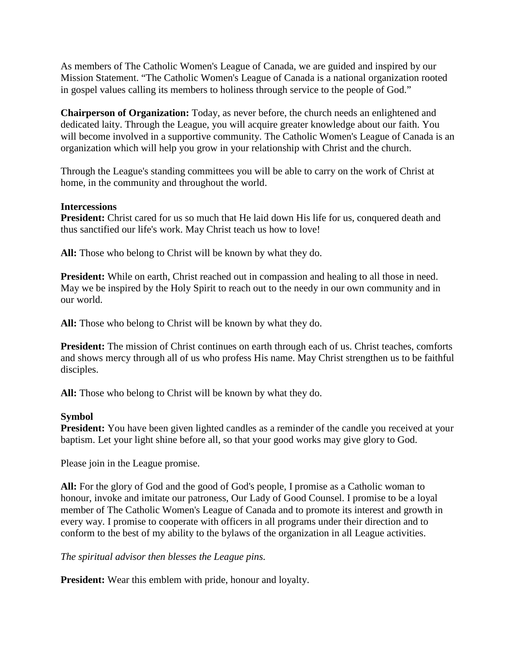As members of The Catholic Women's League of Canada, we are guided and inspired by our Mission Statement. "The Catholic Women's League of Canada is a national organization rooted in gospel values calling its members to holiness through service to the people of God."

**Chairperson of Organization:** Today, as never before, the church needs an enlightened and dedicated laity. Through the League, you will acquire greater knowledge about our faith. You will become involved in a supportive community. The Catholic Women's League of Canada is an organization which will help you grow in your relationship with Christ and the church.

Through the League's standing committees you will be able to carry on the work of Christ at home, in the community and throughout the world.

## **Intercessions**

**President:** Christ cared for us so much that He laid down His life for us, conquered death and thus sanctified our life's work. May Christ teach us how to love!

**All:** Those who belong to Christ will be known by what they do.

**President:** While on earth, Christ reached out in compassion and healing to all those in need. May we be inspired by the Holy Spirit to reach out to the needy in our own community and in our world.

**All:** Those who belong to Christ will be known by what they do.

**President:** The mission of Christ continues on earth through each of us. Christ teaches, comforts and shows mercy through all of us who profess His name. May Christ strengthen us to be faithful disciples.

**All:** Those who belong to Christ will be known by what they do.

# **Symbol**

**President:** You have been given lighted candles as a reminder of the candle you received at your baptism. Let your light shine before all, so that your good works may give glory to God.

Please join in the League promise.

**All:** For the glory of God and the good of God's people, I promise as a Catholic woman to honour, invoke and imitate our patroness, Our Lady of Good Counsel. I promise to be a loyal member of The Catholic Women's League of Canada and to promote its interest and growth in every way. I promise to cooperate with officers in all programs under their direction and to conform to the best of my ability to the bylaws of the organization in all League activities.

*The spiritual advisor then blesses the League pins.* 

**President:** Wear this emblem with pride, honour and loyalty.